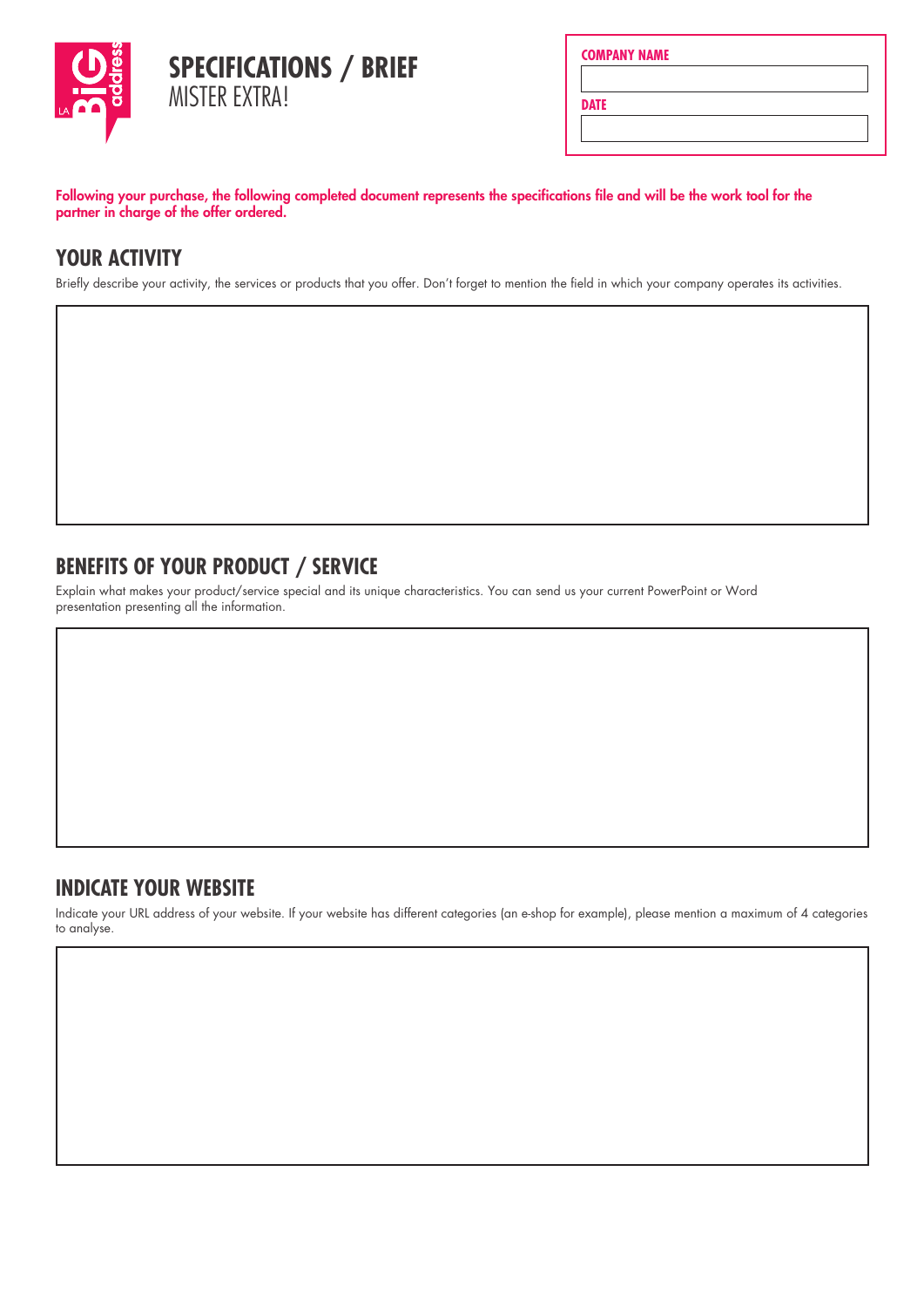

|  | <b>COMPANY NAME</b> |  |
|--|---------------------|--|
|  |                     |  |

**DATE**

Following your purchase, the following completed document represents the specifications file and will be the work tool for the partner in charge of the offer ordered.

# **YOUR ACTIVITY**

Briefly describe your activity, the services or products that you offer. Don't forget to mention the field in which your company operates its activities.

## **BENEFITS OF YOUR PRODUCT / SERVICE**

Explain what makes your product/service special and its unique characteristics. You can send us your current PowerPoint or Word presentation presenting all the information.

### **INDICATE YOUR WEBSITE**

Indicate your URL address of your website. If your website has different categories (an e-shop for example), please mention a maximum of 4 categories to analyse.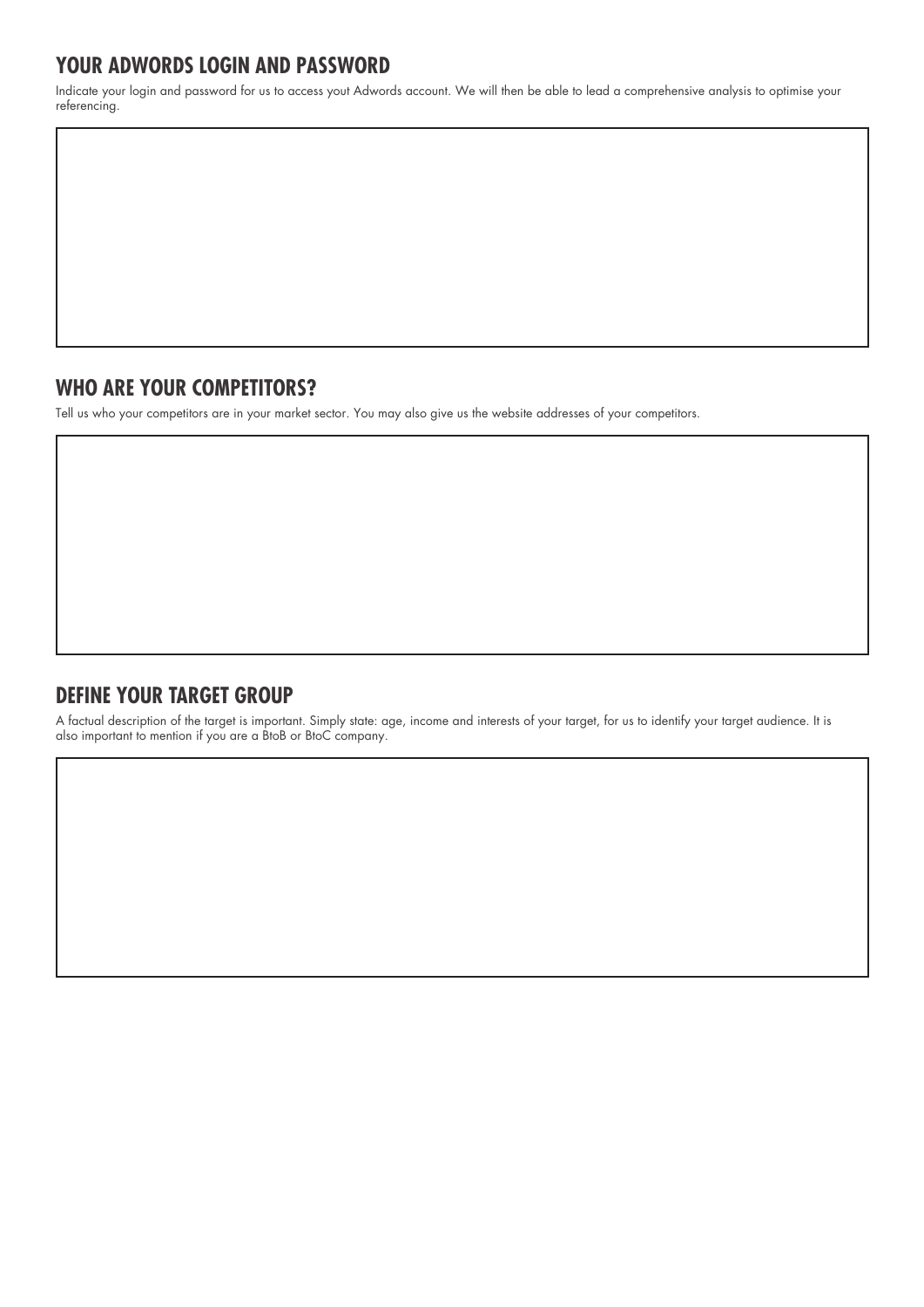## **YOUR ADWORDS LOGIN AND PASSWORD**

Indicate your login and password for us to access yout Adwords account. We will then be able to lead a comprehensive analysis to optimise your referencing.

### **WHO ARE YOUR COMPETITORS?**

Tell us who your competitors are in your market sector. You may also give us the website addresses of your competitors.

### **DEFINE YOUR TARGET GROUP**

A factual description of the target is important. Simply state: age, income and interests of your target, for us to identify your target audience. It is also important to mention if you are a BtoB or BtoC company.